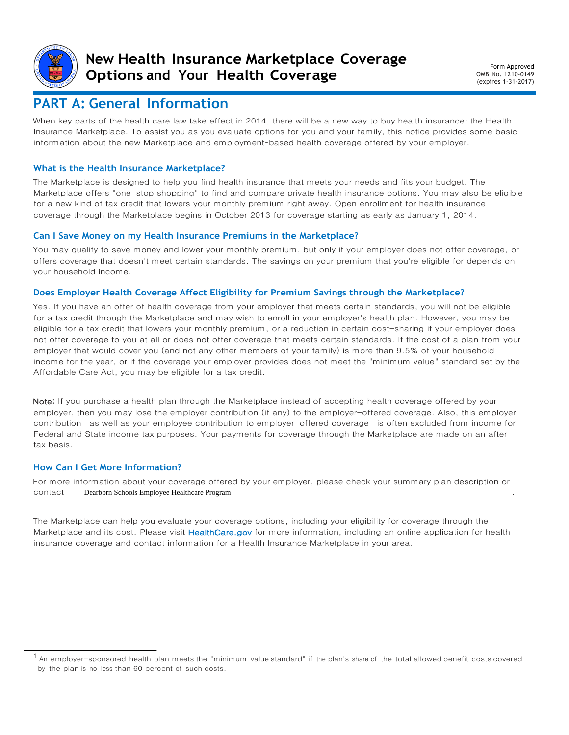

### **New Health Insurance Marketplace Coverage Options and Your Health Coverage**

Form Approved OMB No. 1210-0149 (expires 1-31-2017)

# **PART A: General Information**

When key parts of the health care law take effect in 2014, there will be a new way to buy health insurance: the Health Insurance Marketplace. To assist you as you evaluate options for you and your family, this notice provides some basic information about the new Marketplace and employment-based health coverage offered by your employer.

### **What is the Health Insurance Marketplace?**

The Marketplace is designed to help you find health insurance that meets your needs and fits your budget. The Marketplace offers "one-stop shopping" to find and compare private health insurance options. You may also be eligible for a new kind of tax credit that lowers your monthly premium right away. Open enrollment for health insurance coverage through the Marketplace begins in October 2013 for coverage starting as early as January 1, 2014.

#### **Can I Save Money on my Health Insurance Premiums in the Marketplace?**

You may qualify to save money and lower your monthly premium, but only if your employer does not offer coverage, or offers coverage that doesn't meet certain standards. The savings on your premium that you're eligible for depends on your household income.

#### **Does Employer Health Coverage Affect Eligibility for Premium Savings through the Marketplace?**

Yes. If you have an offer of health coverage from your employer that meets certain standards, you will not be eligible for a tax credit through the Marketplace and may wish to enroll in your employer's health plan. However, you may be eligible for a tax credit that lowers your monthly premium, or a reduction in certain cost-sharing if your employer does not offer coverage to you at all or does not offer coverage that meets certain standards. If the cost of a plan from your employer that would cover you (and not any other members of your family) is more than 9.5% of your household income for the year, or if the coverage your employer provides does not meet the "minimum value" standard set by the Affordable Care Act, you may be eligible for a tax credit.<sup>1</sup>

Note: If you purchase a health plan through the Marketplace instead of accepting health coverage offered by your employer, then you may lose the employer contribution (if any) to the employer-offered coverage. Also, this employer contribution -as well as your employee contribution to employer-offered coverage- is often excluded from income for Federal and State income tax purposes. Your payments for coverage through the Marketplace are made on an aftertax basis.

#### **How Can I Get More Information?**

For more information about your coverage offered by your employer, please check your summary plan description or contact . Dearborn Schools Employee Healthcare Program

The Marketplace can help you evaluate your coverage options, including your eligibility for coverage through the Marketplace and its cost. Please visit [HealthCare.gov](http://www.healthcare.gov/) for more information, including an online application for health insurance coverage and contact information for a Health Insurance Marketplace in your area.

<sup>&</sup>lt;sup>1</sup> An employer-sponsored health plan meets the "minimum value standard" if the plan's share of the total allowed benefit costs covered by the plan is no less than 60 percent of such costs.